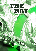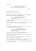OVER BLACK.

MALE WEATHER REPORTER (V.O.) That's right Kelly, it is unusually cold in Chicago this Paddy's Day.

FADE IN:

#### EXT. CHICAGO RIVER - DAY

A traditional Irish anthem plays.

MONTAGE: HAPPY REVELLERS DRINK AND DANCE. EXCITED FAMILIES MINGLE. IRISH TRICOLOR FLAGS EVERYWHERE.

> MALE WEATHER REPORTER (V.O.) We can expect it to stay that way through the weekend.

Thousands line the banks - a carnival of emerald green hats, scarves and gloves.

The annual coloring of the river has taken place. The crowd look on as boats litter the dark green waterway.

EXT. BANK

An oversized LEPRECHAUN started drinking far too early and has strayed away from the crowds.

> MALE WEATHER REPORTER (V.O.) So make sure you have plenty layers on, especially if you have a day of celebration ahead.

A tall, velvet hat sits atop a fake ginger beard. The leprechaun's green coat flows over dark pants.

He staggers towards the bank entrance as wary business types avoid his swaying path.

BRIAN, 30, athletic with a stubbly, square jaw, watches on from a bench as the drunk passes.

Brian is dressed in black, from boots to beanie. He picks up a large backpack and walks behind the costumed man.

His focus shifts quickly to a HEAVILY PREGNANT WOMAN waddling in the same direction.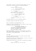Brian opens a bottle of water and gently bumps into her, spilling the contents onto her protruding sweater.

> BRIAN Oh damn, I'm so sorry Miss.

HEAVILY PREGNANT WOMAN It's okay, it's fine.

**BRIAN** Let me take you to this coffee shop, they'll have napkins.

HEAVILY PREGNANT WOMAN I don't know if I need --

BRIAN -- I insist, please. Won't take a second.

She seems grateful for his chivalrous remorse.

He gently guides her away from the bank.

EXT. ST. PATRICK'S DAY PARADE ROUTE - DAY

HUNDREDS OF POLICE OFFICERS line the inside of steel fences as the main event gets underway.

> MALE WEATHER REPORTER (V.O.) If you plan on watching the parade, get down to Columbus Drive soon and give our new Mayor a warm welcome he'll sure need it today.

MAYOR JEFF HANSEN, 40, and his older Hispanic wife CARLA, lead leather-gloved dignitaries - all waving cheerily - at the head of a LOUD BAGPIPE BAND.

#### INT. BANK

The drunk leprechaun pauses as he enters the bank lobby, reaching deep into his coat.

He grabs the attention of FREDDY WRIGHT, a burly 6'3" African-American security guard in his 40's.

Freddy moves swiftly as a hip flask is produced and opened.

FREDDY Excuse me, sir. Can't do that here.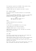The leprechaun ignores him. BELCHES. Takes another drink.

Freddy snatches the silver container away.

A SECOND GUARD sees the commotion and goes to assist.

#### EXT. CONGRESS PARKWAY

The parade reaches the masses gathered at the Buckingham Fountain.

The clean-cut DETECTIVE JIMMY WEST - mid 40's, in good shape stands alongside a squad car a short distance from the procession, bitching to the officer inside.

> **JTMMY** What you gonna do? Always try to get today off, but they --

BOOM!

A MASSIVE EXPLOSION halts proceedings.

Panic sets in.

A large dark cloud MUSHROOMS UP over the trees.

Jimmy immediately runs toward the parade.

SCREAMING PEOPLE sprint in every direction.

ARMED SECURITY surround the VIPs. The Mayor has vanished smothered at ground level.

Utter chaos.

INT. BANK

The security guards march the drunk away, back towards the snow-covered street. They don't make it out.

Taser-wielding robbers attack from both sides. The balaclavaclad thieves stick thousands of volts into the guards.

Dragging the unconscious men back inside, they zip-tie their hands and feet swiftly.

The 'drunk' disrobes, pulls off his beard and hat, then rolls down a ski-mask. He looks back outside, impatiently.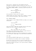Brian jogs in, removing the long backpack from both shoulders; his makeshift beanie covering his face now too.

He tosses an assault rifle to the ex-leprechaun, 50 year old gang leader RUSSELL BARNES, a muscular, gruff-voiced unit of a man.

> RUSSELL Where the fuck d'you go?

**BRIAN** Good deed for the day.

Brian produces a similar gun for himself.

Someone passes the guard's swipe card to Russell. He peers out at the oblivious public, then locks the doors.

EXT. CONGRESS PARKWAY

Jimmy flashes an alert FEMALE OFFICER his badge as he reaches the barrier.

JIMMY

Casualties?

## FEMALE OFFICER

Not here.

Over her shoulder Jimmy sees the Mayor and his wife being bundled into one of several blacked out SUV's.

> JIMMY What's the fastest way over there?

She looks around despairingly. Fleeing citizens flood the road between them and the bombing site.

The officer flags down one of her colleagues who is passing on a motorcycle. Jimmy jumps on the back without hesitation.

INT. BANK

The remaining SECURITY GUARD sprints for the entrance.

He's alerted by the intense cries of several customers.

He goes for his gun but fails to notice the gangly GUS, late 40's, with silenced pistol at the end of a row of pillars.

The bullet catches the guard in the right shoulder, SPINNING HIM off his feet.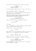With security neutralized Russell leaps onto a desk.

RUSSELL Ladies and gentlemen, your attention please.

His semi-automatic weapon causes the room to fall silent.

EXT. PARK BOMBING LOCATION - SHORTLY AFTER

Jimmy runs over to a destroyed bandstand, where several concerned officers have gathered.

They gather around a small crater that is surrounded by pastel colored wooden debris. Embers SIZZLE as fire extinguishers are sprayed sporadically.

> POLICE OFFICER 2 Why would someone blow this up?

Jimmy's face washes over with sudden realization.

JIMMY A diversion.

INT. BANK

Brian, the calmest of the four intruders, guides the STAFF into the open with their hands aloft.

Russell punts a monitor off the desk.

RUSSELL

Move it!

They hotfoot it to the opposing wall, where the final crew member, LIZ, 30's, aggressively herds the occupants.

> LIZ Faces on the floor. Now!

Russell leaps down, walking over to the shot guard.

Russell pulls him up and places a handgun in his mouth.

RUSSELL

Would the manager please appear before this bullet does?

The BANK MANAGER, a bespectacled bald man in a pinstripe suit, clambers to his feet.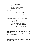BANK MANAGER

Wait.

RUSSELL Pleasure to meet you. Show my friends to your vault.

Liz grabs the manager by the collar and shoves him in the right direction.

> LIZ Any funny shit, people start dying.

He leads Liz and Gus through the security door - the barrel of an AR-15 at the top of his spine a great motivator.

EXT. PARK BOMBING LOCATION

Jimmy jogs alongside an officer who is in contact with HQ.

POLICE OFFICER 2 (ON RADIO) No, not down here. Any reports of robberies from other areas?

CALL CENTRE OPERATOR (O.S.) A unit is on its way to a bank to assess a 2113 that someone rang in.

JIMMY That's it. Send backup immediately!

Jimmy leaps into a waiting car as he yells the order.

INT. BANK VAULT ENTRANCE

The petrified manager struggles to input the code, hands trembling.

As they finally enter he's tossed aside, revealing trolleys covered in stacks of cash.

Gus unfolds several bags and throws two to Liz.

INT. POLICE CAR

The driver weaves through parting traffic, siren blaring, as Jimmy makes a call.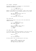#### INT. KITCHEN - CONTINUOUS

Scouring his jacket for a cellphone is a disinterested DETECTIVE JOHN WEAVER, early 60's.

# JIMMY (O.S.) John, where the hell are ya?

Weaver is the opposite of his partner - short, with a slight paunch. As much hair on his accidental beard as on his head.

WEAVER

Hey Jim, down at Carrie's mom's for the weekend. What's up?

JIMMY (O.S.) Your undercover, he call you?

#### INT. POLICE CAR

Jimmy puts his finger to his ear as the irate wheel-man THUMPS THE HORN.

> WEAVER (O.S.) Ain't heard from him in weeks. Shit. What happened?

JIMMY Turn on the news. There's been a bombing, but it's a decoy. (Pause) It's them.

INT. BANK LOBBY - LATER

Liz and Gus return, shoving the manager to the floor as they place four crammed duffel bags near the main entrance.

BRIAN

Time to go.

RUSSELL Tell him we're comin'.

As Brian sends a text, the gang head for the doors.

LIZ Thanks for your cooperation. Stay where you are 'til help arrives. And happy fucking Paddy's Day.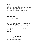EXT. BANK

The gang stroll out in two-by-two formation.

Liz's short, black ponytail flops down as she loosens the back of her tight ski mask a little.

An intense individual with dark, sunken eyes, she's the only one of the quartet not looking happy as they depart.

With weapons hidden between hips and bags, the rest are about to remove their balaclavas as they hit the street.

> POLICE OFFICER Freeeeeze!

Liz is first to react.

POLICE OFFICER 2 Stay right where --

She drops her bag, steps forward fearlessly and holds down the trigger.

RAT-TAT-TAT-TAT-TAT-TAT!

The SQUAD OF OFFICERS take cover as Liz blitzkriegs left and right. She empties the clip.

Brian, Gus and Russell scramble back inside to safety.

A hail of bullets return from the lawmen.

Liz sprints behind a marble pillar. Chunks of debris explode around her.

Liz glances at her bag. Russell catches her eye, motions to abandon it.

He points to the pillar nearest them, as her three colleagues step out in unison.

They unleash a full arsenal to allow her a window of escape.

POLICE OFFICER Holy shit!

The cop crouches down behind a plant pot as bullets TEAR THROUGH the concrete and shrubbery.

Liz slips quickly behind the last pillar, then dives into the bank as the crew retreat to safety.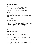### INT. POLICE CAR - MEANWHILE

A panicked report comes over the airwaves.

CALL CENTRE OPERATOR (O.S.) Heavy gunfire. Possible hostage situation. Proceed with caution.

Jimmy looks at the driver. He puts his foot down.

INT. BANK

The gang scurry through the bank. Each grabs a civilian.

Brian places a call as he lifts the manager to his feet using a muzzle.

BRIAN (ON PHONE)

Plan B.

INT. / EXT. GETAWAY VAN

SOLOMON - a pale, wiry man, 50's - is a picture of calm.

He runs a gloved hand through his long brown fringe to remove it from his eye-line as he drives at high speed.

Ignoring a red light, he flies through an intersection.

The dark blue van reaches the back-up collection point. He turns into a tight alleyway to find -

A police car blocking it.

Two uniformed officers stand at opposing dumpsters in the narrow lane. Armed. Poised.

Solomon stops behind them.

The FEMALE OFFICER frantically waves him away.

Feigning confusion, Sol gestures.

The officer runs to the window as Solomon winds it down.

## FEMALE OFFICER You need to get --

Solomon SHOOTS HER in the head without remorse.

He throws the van into reverse. With one hand out the window he takes pops at the MALE OFFICER.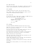#### EXT. BANK FIRE EXIT

The fire exit creaks open. Gus appears, removing his mask to reveal a piercing psychotic stare and graying buzz-cut.

#### EXT. ALLEYWAY

Scrambling behind the trash, the cop fires back at Sol.

Gus, unseen, takes a knee and methodically sends a bullet through the distracted officer's spine.

INT. POLICE CAR

As they near the bank, Jimmy spots a number of ARMED COPS run away from the entrance. The radio CRACKLES:

> POLICE OFFICER (O.S.) Officers down, officers down. Armed suspects in back alley.

JIMMY

Left left!

EXT. ALLEYWAY

Gus spots MULTIPLE OFFICERS sprinting from the far end.

They start firing but quickly cease as Gus yanks a TEENAGE BOY out, using him as a shield.

The rest follow suit with their pawns, making for the van now positioned on the main street ready to go.

Gus slides open the side door. He jumps in first with his bag, leaving the terrified kid frozen on the pavement.

Russell and Brian are right behind.

They also ditch their victims. The three innocents run off once they realize they're excused.

Solomon REVS impatiently as Liz arrives. She belligerently slams a crying hipster against the side.

Swivelling, Liz empties the mag down the alley as cops dive for cover.

Turning back, smiling darkly, out of the corner of her eye she sees -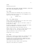#### FLASH!

Everything goes quiet.

SLOW MOTION: HER EYES WIDEN. SHE REELS BACKWARDS, HOLDING HER NECK. BLOOD OOZES BETWEEN HER FINGERS.

#### EXT. STREET

Jimmy stands behind the passenger door, gun aimed at Liz.

He sends a second shot into her arm. She disappears out of sight, back into the alleyway.

RUSSELL (O.S.)

NO!

#### EXT. / INT. GETAWAY VEHICLE

Russell catches the desperation in Liz's eyes. She's trying to crawl when Solomon HITS THE GAS.

As they move off, Russell jumps out and sends a shower of bullets back at Jimmy.

He shoots up the driver, resulting in the squad car flying forward and SMASHING into the back of the van.

They're forced further away from Russell and Liz.

Russell doesn't flinch - shooting in every direction as he tries to reach Liz, but the cops get there first.

Cops are advancing on the van from all sides.

Solomon has to go, no choice.

#### EXT. STREET

Russell has to leave Liz; he backs into a doorway for cover. He watches the van disappear before following them.

He KILLS A COP as he moves stealthily towards the river. Intermittently he sends gunfire back towards the bank as officers and civilians duck for cover.

Once around the corner, Russell starts sprinting.

Jimmy and a few others are in pursuit.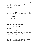The streets are too clogged with human traffic for police cars to get through effectively.

Russell keeps looking back, firing over their heads to slow those chasing down.

He can see the van's tail lights a short distance ahead.

#### INT. GETAWAY VEHICLE

Solomon has the horn BLARING as he cruises through irate revellers. Plastic beer cups and hot dog wrappers hit the windscreen.

#### BRIAN

I see him!

**SOLOMON** Can we wait?

**BRIAN** Negative, they're on him.

**GUS** Get him to head North.

Brian opens the back door and points left.

GUS (CONT'D) He'll know where we're going.

#### EXT. STREET

The van turns out of sight. Russell fires behind again as he crosses the street. The crowd disperse through fear.

Russell picks up the pace, veers down another side street.

He glances back to see the younger and fitter Jimmy has gained on him substantially.

Russell cuts into a bar.

INT. IRISH BAR

With his balaclava still on, and a gun pointing skyward, Russell has an immediate impact as he enters.

The packed bar quickly empties.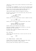Jimmy has to fight his way inside. Eventually he sees Russell up the back.

As everyone exits SCREAMING, all that are left inside are the two of them, the cowering bar staff, and two terrified women.

Russell has the petite twenty-something ANNA standing in front of him, as the Detective puts his gun away.

Jimmy shields himself using the jukebox by the wall.

He pulls out the plug to kill the party song. The bar falls silent, except for:

> ANNA'S MOTHER (Wailing) Please, my daughter.

Russell puts his gun to the mother's head to simmer her down.

**JTMMY** Let's just talk, okay?

Russell pulls the slight, but strong-willed, Anna closer.

RUSSELL Anything happens to my colleague and this girl gets mailed back.

Russell takes aim and destroys the jukebox.

The mother SCREAMS as Jimmy pops his head out to see the emergency exit door shutting.

He gives chase, carefully stepping through the back corridors, gun drawn.

EXT. IRISH BAR

Jimmy kicks open the back door in time to see the van turn out of sight.

JIMMY

Fuck!

INT. GETAWAY VEHICLE - SHORTLY AFTER

Solomon stays off the main roads, travelling down gravel paths that line the backs of cheap housing.

Wailing sirens and flashing lights fill the streets.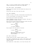PAUL, a 23 year old dopey-looking, wannabe gangster, is clearly intoxicated as he waits by an open gate.

EXT. PAUL'S HOUSE - LATE AFTERNOON

Solomon and Gus conceal the hole-covered van using an old dust sheet.

Gus has one last scan, then locks the gate.

INT. PAUL'S BATHROOM

Russell is lying in the bath, bloody smears surrounding him.

In all the excitement, he'd been shot in the side.

Brian hovers with scissors and padding.

Russell GRIMACES as Brian lifts up his sweater. The gray Tshirt underneath is caked in blood.

Brian cuts the T-shirt from the bottom and cleans the wound, then places a towel on Russell's stomach.

> BRIAN Press that tight.

RUSSELL I'm fuckin' pressing.

Brian inspects the exit wound at the back.

BRIAN It didn't hit any vitals.

RUSSELL Good. Sol, tell my cousin to turn that hip-hop shit off. I can't think straight.

INT. PAUL'S LIVING ROOM

Solomon shouts his boss' request through to Paul.

Gus plants a shocked Anna into a seat in the corner of the tiny room. Her eyes are bright red now, as if she'd been crying for days.

Paul watches her, taken aback, as he turns the music off.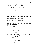Russell's nervous relative constantly lifts up sagging pants as he tries to act tough. He's sweating.

> PAUL Hey man, look. I don't know if --

Gus picks up Russell's iPhone as it rings on the table.

**GUS** 

-- Shut the fuck up and watch her.

Paul folds his arms and sits by the door, nonplussed.

INT. PAUL'S BATHROOM

Gus hands the phone to Russell, shrugging to clarify it's an unknown number.

Russell waves everyone out as he answers.

INT. PAUL'S LIVING ROOM - EARLY EVENING

Russell is bandaged and resting. Gus looks out the window.

The television is barely audible next to Anna. Her eyes are glued to it, unblinking.

Solomon walks over to her with a cup of water. She hesitates before sipping from it shakily.

> PAUL What's your name?

He tries to whisper but everyone inside the claustrophobic space can hear him, of which she's aware.

ANNA

Anna.

Gus clears his throat from the window, and taps the gun in his waistband. Paul clams up again.

RUSSELL

Turn that up.

The Mayor addresses reporters live on the local news.

MAYOR HANSEN ... killed in today's despicable acts. (Pause) (MORE)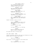Our thoughts and prayers go to those in hospital due to their courage in the line of duty. MAYOR HANSEN (CONT'D)

REPORTER 1 (O.S.) Have there been any demands regarding the hostage?

MAYOR HANSEN As you can appreciate, that's not something I can discuss.

REPORTER 2 (O.S.) Mr. Mayor, has the gang member been identified? Is she alive?

MAYOR HANSEN She's undergoing vital surgery now. We'll question her when the time's right.

Russell launches a glass at the TV.

RUSSELL These cocksuckas think she'll give them anything, they're fucked in the head! (Pause) We need to get her asap.

BRIAN You heard 'em, she's in a bad way.

RUSSELL We can't believe what they say. Need to find out ourselves.

He slinks back down in obvious pain.

INT. PAUL'S HOUSE - LATER

Several cellphones and their SIM cards are divided into clear plastic bags on the small glass table.

> RUSSELL They're all disabled?

Brian nods, as Solomon appears at the kitchen door.

SOLOMON Their headphones are full volume.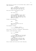RUSSELL Right, take the van a few blocks when it gets dark and torch it. Steal two rides on your way back.

Brian and Solomon acknowledge the order.

BRIAN

Fast ones?

RUSSELL Something no-one will miss. From a lot if possible, get them at the same time. Most importantly is you never lose sight of each other. Not even for a second.

Solomon looks perplexed.

BRIAN

Why?

RUSSELL Same reason I'll be with Gus. There's a rat.

The atmosphere changes.

RUSSELL (CONT'D) Y'all should be fuckin' scared.

Brian looks at the bag of cellphones, understanding.

Russell stands menacingly, prowls.

SOLOMON

Wait a min --

RUSSELL -- I'm not done! My guy at the bank said they never send that many for an alarm. It was a tip-off. (Pause) It was his plan so he ain't the snitch. And Liz is nuts but she'd die before giving up family. That leaves you three.

Brian, Solomon and Gus eye each other dubiously.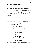EXT. CHICAGO PARKING LOT - EVENING

Brian and Solomon wear a mix of party gear and Chicago Bears paraphernalia.

They stand next to a battered gray Ford, with another inconspicuous hatchback running gently in the background.

Brian keeps watch as Solomon cracks the driver's door open within seconds. No alarm.

Brian turns and jumps into the one they'd already boosted and slowly moves through the lot - careful not to drive too far from his fellow suspect.

He breathes heavy.

INT. POLICE STATION - NIGHT

There's a concentrated hum in the briefing room as CAPTAIN BERNICE O'NEILL marches in, coffee in hand.

The stern-looking 60 year old African American silences the attendees as soon as she speaks.

> CAPTAIN O'NEILL What have we got?

FEMALE DETECTIVE We found the van. Burned out.

CAPTAIN O'NEILL Do we know what they switched to?

Uncomfortable silence. She sits on the desk at the front, looking back at a dozen or so suits and uniforms.

> CAPTAIN O'NEILL (CONT'D) Do we know the direction they went?

MALE DETECTIVE No, Ma'am. No cameras in the area.

CAPTAIN O'NEILL Okay. Does anyone have anything?

Jimmy clears his throat, but doesn't speak up.

CAPTAIN O'NEILL (CONT'D) Keep working it. Dismissed.

Detectives West and Weaver stay in the room with her, as everyone else leaves.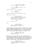CAPTAIN O'NEILL (CONT'D) Well? Don't keep me in suspense.

JIMMY It's them. The bank robbers I told you about?

She puts down her coffee and exhales.

#### WEAVER

Time we caught him up.

Captain O'Neill walks over and shuts the door.

Jimmy looks confused.

WEAVER (CONT'D) I haven't told you everything about my undercover. Bernice and I chose him for a specific reason. We couldn't trust just anyone.

JIMMY

With what?

Beat.

CAPTAIN O'NEILL Before moving to Chicago, I was happily married in Detroit.

FLASHBACK MONTAGE: BERNICE KISSES HER HUSBAND, GARRY O'NEILL, A TALL, HANDSOME IRISH-AMERICAN MAN / THEY HAPPILY MIX WITH FRIENDS IN THEIR SUBURBAN GARDEN / 90's DECOR AND FASHION SURROUND THEM AS THEY ENJOY A NIGHT OUT / SHE SITS IN THE BACK ROW IN HER DRESS BLUES, WATCHING HIM CHARM A JURY.

> CAPTAIN O'NEILL (V.O.) He was a prosecutor. A good one. Probably too good...

MONTAGE (CONT'D): THEY DISCUSS A CASE AT HOME ONE NIGHT, ARGUE ABOUT HIM FUCKING WITH THE MOB / BERNICE FINDS A NOTE IN THE MORNING FROM GARRY, APOLOGIZING FOR THE ARGUMENT / A SUITED GARRY WALKS TO HIS STATION WAGON ON A ROOFTOP CAR PARK WITH A COLLEAGUE - THEY NOTICE SUNLIGHT REFLECTING FROM A ROOFTOP IN THE DISTANCE / GARRY GETS SHOT IN THE CHEST.

> CAPTAIN O'NEILL It worked. Everyone got scared off. Case was dropped. But I followed the trail.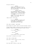She gets choked up.

WEAVER

Joseph Vialli started off as an under-boss in Michigan to wet his lips. He came back to Chicago when his old man passed.

CAPTAIN O'NEILL So I transferred here. I know he ordered the hit. Been doing same thing for years - paying alienated ex-military to do his dirty work. (Pause) Sadly, he's also got cops in his pocket. A lot. That's why I've never got near him.

Jimmy listens, blown away.

#### WEAVER

Me and Bernice were partners back in the day. So, she asked me to find someone unbreakable to infiltrate one of his crews.

INT. PAUL'S KITCHEN - LATE NIGHT

Brian washes his hands, heavily tattooed forearms visible.

Solomon makes coffees, glancing at Brian the whole time. A palpable, awkward edge has developed through the day.

> SOLOMON If Liz doesn't make it --

> > BRIAN

 $--$  She will.

SOLOMON If she doesn't. He'll want blood.

Brian doesn't disagree as he exits.

# INT. PAUL'S LIVING ROOM

Anna hasn't moved a muscle in hours. Until:

ANNA

# Could I...

She looks down, scared to even ask.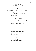ANNA (CONT'D) I'd like to get rid of this?

She displays dried blood spots.

RUSSELL Get her a T-shirt and hoodie.

Paul obeys at once. Brian follows him out, taking Anna.

RUSSELL (CONT'D) Sol. That ex of yours, the nurse. She still working at Northwestern?

SOLOMON Yeah, how come?

Russell stares at him. Solomon realizes what he's asking.

SOLOMON (CONT'D) Maaan. What do I even sav?

Russell sits up slowly, scratching graying stubble.

RUSSELL Keep it breezy, ask how she is? Make her think you've had a few.

SOLOMON Dude, I got a wife now.

RUSSELL I'm not asking you to bang her for fuck's sake.

GUS Just act a bit flirty. Casually take it around to today's shit.

RUSSELL If Liz is in that hospital, word will have spread.

Solomon sits forward again, nodding.

SOLOMON Pass me my cell.

RUSSELL No. Use one of the burners.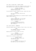INT. PAUL'S LIVING ROOM - SHORTLY AFTER

Brian stands half out the door, keeping an eye on Anna as Paul hands her the clothes at the end of the hallway.

> SOLOMON (ON PHONE) Hahaha, well you know, just being my usual charming self.

Gus and Russell cringe. Solomon notices, leaves the room.

RUSSELL We'll get rid of her after we get Liz back.

Brian overhears them whispering. He catches himself looking upset, before they do.

> GUS Clock's ticking boss. I'll try and find out who she is, make sure it doesn't blow back on us.

RUSSELL No searches that can be traced scan through news headlines, see what comes up.

INT. POLICE STATION - MEANWHILE

Detective Weaver paces as Captain O'Neill looks at her feet.

JIMMY Your nephew?! You put your nephew in with these animals.

Weaver motions at him to lower his voice.

WEAVER It had to be someone we could trust. It was his decision.

Skepticism is etched on Jimmy's face.

CAPTAIN O'NEILL It's the only way we could take them down for good.

WEAVER His father was a life-long cop. The boy knew the risks. He wanted to.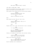INT. PAUL'S LIVING ROOM - LATER

Brian sits by Russell with an iPad, zooming in and out of a map of the hospital and surrounding area.

Russ stands up and fiddles with his blood-stained bandage.

RUSSELL We need to get eyes on her. Find out her condition somehow.

**GUS** There'll be security all over.

Beat.

Anna raises her hand. They all look to her.

ANNA Usually after surgery, they go to a recovery room.

GUS

And?

Russell shoots him a look, then motions to her to continue.

ANNA If I help, you'll let me go?

RUSSELL Not yet. But you have my word. We're not in the business of harming innocent people.

Dubious, but unaware of their plan, she continues timidly.

ANNA If she's there, it'll be the 8th floor. That's where my Pops went.

They're all waiting for her point.

ANNA (CONT'D) Most of those rooms look out at the lake. You may be able to see her?

Brian's eyebrows rise in admiration.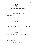RUSSELL At least somebody's using their brain. Thank you.

SOLOMON 8th floor will be tough to get to.

Beat.

RUSSELL Got an idea; Benghazi. (Pause) The ambassador we got out. Could do something similar?

Gus thinks on it.

**GUS** Very different. Won't be easy, but...

Russell seems content with that opinion.

RUSSELL Next job starts tomorrow. Everyone get some rest.

INT. NORTHWESTERN MEMORIAL HOSPITAL - EARLY MORNING

TWO ARMED GUARDS stand outside a room at the end of a bright corridor.

Another leans on the nurse's station halfway down.

Between them is Jimmy, half asleep in a crap plastic seat as Detective Weaver sits next to him.

> WEAVER Here you go buddy.

Weaver hands over a steaming hospital-grade coffee.

JIMMY

Cheers.

WEAVER She awake?

Jimmy shakes his head.

JIMMY Could be here a while.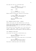The older man lets out a frustrated sigh.

WEAVER Listen, Jim. I fucked up. There was a missed call from my nephew.

**JTMMY** 

When?

WEAVER Same time as the bomb. I'm sorry.

Weaver throws his head back, staring at the ceiling.

JIMMY It doesn't matter. Must've been him that tipped off the switchboard.

WEAVER Yeah, but we could've done something.

EXT. FARMHOUSE OUTSIDE CHICAGO - MORNING

There's snow lying, but less extreme than in the city.

The two cars thunder downhill on a gravel path. Solomon brakes heavily as he reaches the house first, throwing up a mix of dirt and slush.

Brian assists the injured Russell out of the tailing car.

A short, older woman - SALLY, Liz and Russell's mother seems un-phased as she puts Russell's free arm around her.

INT. FARMHOUSE LIVING ROOM

Sally scans the crew with an authoritative air.

SALLY Any word on Elizabeth? They're not reporting anything.

The room is eerily quiet. Brian leads Sally to the kitchen.

BRIAN She was bleeding bad but we had to move. Sorry I don't know any more.

Brian puts a comforting hand on her shoulder.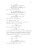SALLY She's tough that one. Always was. (Pause) Just so it doesn't upset you - I put your case in a different room from hers this time.

Brian looks at her, perplexed.

SALLY (CONT'D) She asked me to the other day. Said she needed her own space here.

He SIGHS HEAVILY. He looks tired, emotional.

BRIAN We've been arguing a lot lately. Just... I dunno.

Sally gives him a much-needed hug.

INT. FARMHOUSE KITCHEN - LATER

Brian puts a plate of bacon and eggs on the table.

Anna doesn't move, staring into space.

BRIAN You have to eat something.

Brian sits down across from her.

ANNA Does anyone even know I'm alive?

She wipes away a tear with the cuff of Paul's zipped sweater.

Brian's distracted by AN APPROACHING VEHICLE as Solomon enters. Brian jumps up and pulls a gun from his waistband.

Looking outside he sees Russell, Gus and Sally waiting.

SOLOMON Miss, could you follow me?

BRIAN

Where?

SOLOMON Boss wants her out the way for a bit. Gonna lock her in Liz's room.

Anna looks apprehensively at Brian.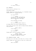BRIAN It's okay, on you go.

EXT. FARMHOUSE

The car pulls up. Exiting it is -

THE SECURITY GUARD!

Freddy, despite his child-like grin, is a formidable figure. Russell gives him a friendly man-hug.

RUSSELL

You clear?

FREDDY I'm good bro. They interviewed us and let us all go. The CCTV of me getting zapped kept them happy.

GUS Sorry about that old buddy.

FREDDY Don't act like you didn't enjoy it.

As Freddy smiles, Gus starts laughing heartily.

Sally slaps the back of Gus' head as Freddy fetches something from the trunk.

> FREDDY (CONT'D) Lizzie okay?

RUSSELL Don't know yet.

Freddy hands a long thin package to Russell.

RUSSELL (CONT'D) Gus - get the rest together. I need to speak to Freddy for a second.

INT. FARMHOUSE KITCHEN - LATER

The group sit at the table, with their cut in front of them. Russell sweeps two large stacks of cash into a duffel bag.

> RUSSELL That's Liz and I.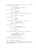A larger pile, twice as high, sits alone at the corner of the table. Gus can't help himself.

> GUS They still taking that slice? After what we went through?

Russell glares at him.

RUSSELL They always get theirs.

Gus looks aghast, arms out to his side as he looks about.

**GUS** 

Nobody else got an issue with --

Russell THUMPS the table.

RUSSELL -- Not now Gus!

Gus folds his arms and leans back, quiet but defiant.

RUSSELL (CONT'D) You'll recognize Freddy from the bank?

Brian shakes his hand.

RUSSELL (CONT'D) We go way back, same battalion as me n' Gus.

GUS He got shafted too.

Russell puts his jacket on and picks up the package again.

RUSSELL Freddy, keep an eye on everyone. Wifi and phones stay off. Brian, we're going for a drive.

Brian gets nervous, pulse quickens.

He composes himself and follows Russell out.

INT. LIZ'S BEDROOM - SHORTLY AFTER

Anna flicks through Liz's luggage. She grabs a plain vest and a warm-looking sweater. Turning, she places them on the bed. She stops, nervous.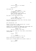ANNA Could you leave so I can change?

## SALLY

Afraid not.

Sally spins 180.

SALLY (CONT'D) Sorry you got dragged into it dear. (Pause) But don't think I'll be a soft touch. You don't wanna cross me any more than those downstairs.

She looks a little taken aback by this.

ANNA It doesn't matter, does it? I've seen all their faces now.

She starts crying as Sally walks over to the door, saying nothing to reassure her.

EXT. BUILDING ROOF - DAY

Russell is face down on a damp concrete roof - one eye looking through a thin telescope.

RUSSELL'S POV: A HOSPITAL BED. NURSES AND A DOCTOR HOVER. THE DETECTIVES LOITER OUTSIDE THE LARGE CORNER ROOM.

> RUSSELL (O.S.) That has to be her - He's there.

Russell passes the 'scope over. Brian takes a second before locating them.

BRIAN

He who?

RUSSELL The fucker who shot her. Thin one.

Brian's focus moves from Weaver to Jimmy.

Russell pulls A BUZZING PHONE from his pocket. Ignores it.

**BRIAN** Need to answer?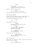No. (Pause) Everyone has a boss Brian. Mine thinks we shouldn't take this risk.

Russell, stressed, rubs his face.

**BRIAN** Fuck him. We're not leaving Liz.

Brian punches him reassuringly on the shoulder.

INT. HOSPITAL CORRIDOR

Through the window, Weaver watches a nurse check Liz's wrists, which are cuffed to the metal bed frame.

The young, suave SURGEON strolls out.

**JTMMY** 

Well?

The Detectives are peeved.

SURGEON She needs rest. Talking could open her stitches and --

JIMMY

-- I don't give a fuck! There's seriously injured cops and a missing girl out there.

SURGEON She's drugged to the eyeballs. It'll be gibberish.

Weaver walks away and sits down.

SURGEON (CONT'D) Come back later. She needs a little more recovery time.

# EXT. BUILDING ROOF

Russell has the 'scope back. Jimmy's annoyed reaction tells him all he needs to know.

> RUSSELL They ain't got to her yet.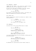#### INT. WAREHOUSE - EVENING

JOSEPH 'BIG JOE' VIALLI - 60's, thick tan, thicker glasses immediately gives off the impression of a boss.

As one of his crew hold a cellphone to his ear, several others beat a man senseless in the background.

# BIG JOE

You sure about this?

He's waving a blood-soaked mallet around - the excess runs down his forearms onto rolled up silk sleeves.

EXT. BRIAN'S CAR

Russell leaves Brian inside the running car, unable to hear the conversation.

> RUSSELL Can't leave her Joe, she's family.

BIG JOE (O.S.) Fair enough, kid. Can respect that.

INT. WAREHOUSE

Joe half-turns as the victim behind wails in agony.

BIG JOE They know who you are?

RUSSELL (O.S.) No-one had ID on them and her record's clean. She won't talk.

BIG JOE Then do what you gotta do. But my money comes to me first, got it?

Joe stands threateningly over the bloodied, choking pulp his men have produced.

> RUSSELL (O.S.) Yes sir. I'll deliver it when we pick everything up in the morning.

BIG JOE Okay. See you then.

He addresses his right-hand man after Russell hangs up.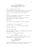BIG JOE (CONT'D) They fuck it up, whack the whole crew. The mother included. None of this comes back on me.

INT. LIZ'S HOSPITAL ROOM - NIGHT

Liz feigns sleep, glancing at the guards out in the corridor as she subtly tries to free herself from the shackles.

Out of her window, something grabs her attention.

FLASH.

Liz sits up, bewildered. She looks again at the guards; they're busily chatting up a nurse.

Her eyes turn to the light in the distance once more, piercing through the pitch black night.

FLASH-FLASH.

Morse code. She pays attention to the dots and dashes:

 $-$ . .. ...- . / - .... . -- / -.. . -.-. --- -.--

Liz mimes slowly, 'Give them decoy'?

The light goes on for a few seconds, then disappears.

She gives a thumbs up.

INT. LIZ'S ROOM - NIGHT

Anna bolts upright in the bed as A CREAKING DOOR reverberates around the dimly lit room.

Sally stirs in the chair as Brian enters.

BRIAN Hey. Russell wants to speak to us.

Sally slumps out. Anna is slower to move. When she does eventually get up, Brian stops her gently.

> BRIAN (CONT'D) Sorry, I didn't mean you. (Half-whispering) You okay?

Anna says nothing and sits back down on the bed, pulling her legs up and resting her chin gloomily on her knees.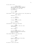He sits next to her.

BRIAN (CONT'D) You did the right thing, trying to help us? When we're done tomorrow, we're gone. You'll get home. (Pause) Where you from?

#### ANNA

Like you care.

Brian doesn't react, keeps looking at her. She glances up.

ANNA (CONT'D)

Minnesota.

**BRIAN** Move here for work?

ANNA College. Stayed for work.

BRIAN What is it you do?

She hesitates, eyeing him cautiously.

ANNA Graphic designer. Just got a new job actually.

BRIAN That's great.

ANNA

And before you showed up, I was going to celebrate over lunch with my Mom. So thanks.

She conveys ANGER for the first time.

BRIAN

I'm sorry.

ANNA No you're not. If you truly were, you'd... forget it.

BRIAN

Really, I am.

He turns to look at the door.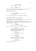BRIAN (CONT'D) Do me a favor  $-$  trust me?

ANNA Why would I trust you?!

He puts a reassuring hand on her wrist. She pulls her hand away, more in confusion than anything.

Brian looks pained.

BRIAN I'll check on you later, see if you need anything.

He locks the room from the outside as he departs.

INT. WAREHOUSE OFFICE - EARLY MORNING

At the back of a cold, bleak room sits Big Joe, counting out cash precisely on a large steel table.

Russell and Brian stand, respectfully watching on. Not that they could sit - a distinct lack of furniture makes for an unwelcome space to guests.

> RUSSELL<sub>L</sub> The extra is for the hardware.

Brian tries not to stare at the infamous gangster.

BIG JOE Looks like it's all there. Not a bad take, but you better give it a rest after this is done. Any of this comes back on me --

RUSSELL -- It won't, you have my word.

BIG JOE What's the plan after?

RUSSELL Meeting your Detroit guy for IDs, then we head across the border.

BIG JOE You staying in Toronto?

Russell shakes his head.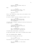money in peace.

Beat.

BIG JOE Your sister and the others - they know you work for me, right?

#### RUSSELL

They know.

Brian, just finding out, stays calm as Joe glares at him.

Joe nods, satisfied.

He turns to EDDIE, the burly accomplice nearest to him.

BIG JOE That's why I like military guys. They've seen the real word, know the consequences.

Joe walks over to Russell, shaking his hand and kissing him on each cheek.

> RUSSELL, I'm not sure we can avoid casualties on this one. We may be away for some time.

BIG JOE Well, sometimes that's the way it goes. I'll be sad to lose you kid.

Joe walks away, emotionless, as they exit.

As they head outside, their trunk is already being loaded.

INT. LIZ'S HOSPITAL ROOM - MORNING

Liz has tears streaming down her face.

LIZ They wouldn't do that.

The Detectives are at the end of her bed, stern-faced.

WEAVER She still believes in 'honor among thieves'?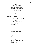JIMMY They don't care about you. (Half laughing) The hostage who escaped gave us your name. Saw them burn your passport. What does that say?

WEAVER You've been left behind.

She sobs uncontrollably.

**JTMMY** This is a chance to make a deal. Cops died. Those bodies go on you.

Weaver runs with the bluff.

WEAVER Why take that? We know you didn't kill 'em - ballistics prove it.

JIMMY What we need are names. The location too.

WEAVER Where are they?

Jimmy sits next to her.

T.TZ I don't know the other names. That never gets shared.

JIMMY Bullshit. How did you and your brother find them then?

Beat.

LIZ

We get a call from an unlisted number. They tell us where to go. Different crews every time.

They look at each other dubiously.

JIMMY See, now I don't believe you. We think this is your gang who do one big job each year. Smart, tactical, precise. Lucrative.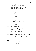T.TZ I never seen 'em before, I swear.

JIMMY Where are they then? If you have no loyalty to them, as you claim.

She starts to cry again. A nurse rubs her eyes with a tissue. She violently bucks.

> LIZ Fuck off!

The nurse jolts backwards.

**JTMMY** Last chance. Or you go to prison for the rest of your life.

Liz inhales deeply.

LIZ I'll tell you where we were meant to meet - but they'll probably be gone by now. It's a farmhouse.

**JTMMY** 

Go on.

She shakes her head defiantly.

LIZ Uh-uh. Lawyer. I get guarantees first. And my brother too.

EXT. FARMHOUSE BUILDINGS - AFTERNOON

Rain drizzles down.

The dark figures of SEVERAL SWAT MEMBERS emerge quickly from trees at the back of the farm.

They work their way, battle-ready, towards the house.

INT. FARMHOUSE

CRASH!

The front door gets battered off the hinges.

Silhouettes and flashlights pile in.

37.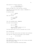They break off in several directions.

SWAT OFFICER (O.S.) Don't move. On your knees.

Weaver and Jimmy run in once the dust's settled.

They make for the kitchen where a woman is SHRIEKING. On arrival they find -

An elderly couple.

WEAVER Lyin' bitch!

They look furious.

JIMMY She played us. (Pause) Shit.

INT. LIZ'S HOSPITAL ROOM - MEANWHILE

The nurse looks apologetic.

T.TZ Why's he here?!

NURSE They got a call to watch you at all times. Nothing I can do.

The nurse walks back out with an untouched tray of food.

EXT. BUILDING ROOF

Gus is in the same location Brian and Russell were yesterday.

This time the 'scope has an M24 sniper rifle attached.

GUS (ON RADIO)

Go.

EXT. HOSPITAL ROOF

Rain batters the corner of the flat roof as Brian and Freddy step onto adjacent ledges.

They are barely recognizable through gas masks.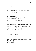Small automatic weapons draped over bullet-proof vests.

Over the edge they go, rappelling from 20 stories up. They BOUNCE DOWN the sides of the building.

#### EXT. BUILDING ROOF

Gus keeps one eye on them as they reach the 8th floor.

**GUS** In 3... 2... 1...

He shuts his left eye.

# INT. LIZ'S HOSPITAL ROOM

A hole appears on the window at the same time THE GUARD goes down. Dead before he hits the floor.

Brian plants his feet on the glass and pushes himself back into thin air as a SECOND GUARD, outside the room, takes aim.

INT. HOSPITAL CORRIDOR

The man targeting Brian doesn't notice Freddy appear at the end of the corridor.

Freddy blasts his legs away through the glass. He shoots the window and swings through.

Freddy drops onto one knee, instantly firing down the corridor at unseen foes as he lands.

SCREAMING FILLS THE HALLS.

INT. LIZ'S HOSPITAL ROOM

Brian crashes into the room.

Liz is already kicking the sheets away. She RIPS a drip out of her arm using her teeth.

Brian unhooks, goes straight to her with bolt-cutters.

She pulls the attachments off her body as soon as her first hand is cut loose.

Freddy ducks inside. He activates CS gas grenades and HURLS THEM down the corridor.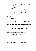Liz scrambles out of bed but doesn't look for her clothes or footwear. No time.

# BRIAN (Muffled) Ready?

She nods. He pulls a spare mask out, puts it on her.

Brian crouches. She hops onto his back.

Liz taps his shoulder and gestures to his side-arm. He passes it to her.

Her right arm extends over his shoulder, with intent.

They exit.

INT. HOSPITAL CORRIDOR

FUCKING CHAOS.

Most inhabitants are on the ground, struggling for breath. Freddy takes the lead through the smoke-filled corridor.

FREDDY'S POV: A DOCTOR CLINGING TO THE WALL GETS THE BUTT OF A GUN TO THE HEAD. A FEW STEPS LATER, A HYPERVENTILATING SENTRY CAN'T SEE THEM. FREDDY KNOCKS HIM OUT TOO.

They get to the elevator.

Freddy drags TWO BARELY-CONSCIOUS NURSES in with them.

INT. / EXT. WEAVER'S CAR - SHORTLY AFTER

The occupants sit aghast as the report comes in:

POLICE OFFICER (ON RADIO) They're attempting a rescue.

#### JIMMY

# Motherfuckers!

The Chicago skyline comes into view as Weaver's car and the two SWAT trucks behind significantly up their speeds.

EXT. ELEVATOR - 2ND FLOOR - SHORTLY AFTER

The doors part. They slowly walk the nurses out.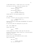A LONE OFFICER awaits - Freddy shoots him in the chest. The nurses run and hide, along with everyone else.

> FREDDY (ON RADIO) Casualty. No choice.

GUS (O.S.) Room security is dead too.

RUSSELL (O.S.) Shoot to kill now, if necessary.

Freddy heads for the nearby emergency exit.

INT. STAIRWELL

He drops a cannister over the railings to the bottom.

POLICE OFFICER (O.S.) Ugggh. Ugh-uhhhh.

Reaching the bottom, Freddy RAMS THE BREATHLESS COP headfirst into the wall.

He cautiously opens the underground car park door.

INT. / EXT. GETAWAY VAN

Russell spots them.

RUSSELL

There!

Solomon speeds over. Russell slides open the side door.

Liz pulls off her mask. Russell gives her a loving hug before helping her climb in.

Solomon floors it towards the exit.

Red and blue lights SPIN AROUND the walls inside.

They're pinned down.

BRIAN

What now?

RUSSELL (ON RADIO) Gus, you got an angle?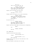GUS (O.S.) Yeah. Can just about see 'em.

RUSSELL (ON RADIO) When I say, unleash as many shots as you can at the nearest cars. Force them over to our right.

Russell exits and opens the rear doors.

RUSSELL (CONT'D)

How many?

Freddy raises six fingers as he counts cannisters.

RUSSELL (CONT'D) Launch two when they start running. Then jump in, lay suppressing fire. (Pause) Masks back on.

He pulls Brian out.

RUSSELL (CONT'D) Sol, we're hitting 'em with everything. Shadow us slowly then get us the fuck out of here.

Russell and Brian check ammo as they position themselves.

BRIAN

Set.

RUSSELL (ON RADIO) Now Gus.

INT. GARAGE EXIT

Powerful projectiles batter metal.

POLICE OFFICER (O.S.)

Sniper!

POLICE OFFICER 2 (O.S.) Move. Back up!

Freddy throws two gas cans out the side door at the retreating cops.

Brian and Russell side-step onto the ramp.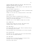Solomon crawls out in tandem. Barely a shot comes back from the fleeing lawmen.

Brian and Russell jump back in.

Sol mounts the sidewalk, then tears toward an abandoned green space in front of the hospital.

Freddy is at the rear door, spraying bullets in their wake.

INT. WEAVER'S CAR

Weaver drives towards an unmanned police cordon, as -

The getaway van flies diagonally across the intersection, aiming at an enclosed green space.

The SWAT truck in front SMASHES an empty cop car aside.

EXT. GETAWAY VAN

Solomon plows through the railings. They speed across overgrown grass, aiming for the far corner.

EXT. SWAT TRUCK 2

The leading SWAT team turn right. They're instantly held up by a stationary police cruiser

The second SWAT truck follows Weaver as he drives straight.

EXT. BUILDING ROOF

Gus takes his time, stalking the black truck behind Weaver with his rifle. He exhales smoothly.

INT. SWAT TRUCK

The detectives' car turns the corner at the end of the railings, as the truck wheel EXPLODES.

The driver loses control.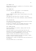#### INT. WEAVER'S CAR

Weaver sees the truck hit a parked car in the mirrors, before flipping onto its side.

### INT. GETAWAY VAN

The detectives are in hot pursuit in the background.

GUS (O.S.) One unit down. On my way to you.

Solomon CRUSHES the metal fence, flying straight into an SUV, wiping it out.

They approach Lake Shore Drive. He doesn't slow down.

He throws them into the corner recklessly, aiming Southbound.

## EXT. BUILDING ROOF

Gus tosses the sniper rifle as he sprints across the rooftop in the direction of Lake Michigan.

He picks up a different, pre-laid weapon and points it down at the corner of the building overlooking the water.

#### EXT. CORNER BUILDING

The arrow smashes into concrete, lodging itself ten feet above street level.

Gus hooks himself on and zip-wires down from the roof.

Releasing as he's about to face-plant the wall, he drops to the ground and ROLLS UNCEREMONIOUSLY onto the road.

Almost run down, Gus scuttles to safety on all fours.

Solomon is motoring towards him. With ten seconds to spare, he pulls a Glock 9 from his waistband.

He takes aim at a squad car approaching from the direction of the hospital.

The second SWAT truck is close behind.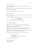# INT. POLICE CAR

Through the windshield, the cops watch Gus step into the center of the road.

He empties the clip at the DRIVER, hitting him several times.

BLOOD SPRAYS EVERYWHERE.

They careen head-first into a parked car.

INT. SWAT TRUCK 2

They slam on the brakes; their route blocked by the wrecked cop car in front.

The SWAT COMMANDER looks on furious, as the gang reach Gus.

SWAT COMMANDER SHIT! Down the street behind.

They speed in reverse to the intersection.

EXT. / INT. GETAWAY VAN

Gus leaps into the open side door of the crawling van.

Weaver's car drifts around the corner as the flashing of several squad cars appear behind.

Solomon leaves the road they're on and drives over a short grass verge, taking them onto the freeway alongside.

SPARKS FLY from the underside of the van as they dangerously merge with the high-speed southbound traffic.

Gus checks everyone out. Liz nods at him gratefully.

RUSSELL Good job. (Pause) Brian, Freddy - fuckin' obliterate whoever's back there.

Liz and Gus brace themselves.

INT. STATION WAGON

BEEEEEEEEEEEP!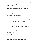An irate, cursing OLD WOMAN cannot believe the maneuver that was just pulled at her grill.

Brian boots the back doors open.

Her fury turns to terror at the sight of masked men. Freddy sends automatic machine gun fire over her head. She SLAMS ON in the middle of the freeway and ducks down.

INT. WEAVER'S CAR

They mount the same verge, barely clearing a concrete barrier that appears, as squad cars fly by.

INT. / EXT. COP CAR 1

The DRIVER momentarily loses concentration as Weaver appears suddenly to his right.

He notices the old woman's static car too late.

The cop car disappears in a crescendo of metal.

INT. COP CAR 2

Bullets ZIP ALONG, snaking their way up the windshield.

POLICE CAR DRIVER

Shit!

He brakes hard, creating separation.

INT. WEAVER'S CAR

They scrape past lumps of tangled metal as the getaway van slaloms up ahead.

Weaver displays no apprehension, speeds up.

INT. / EXT. GETAWAY VAN

Russell watches the action through the mirrors.

RUSSELL Get us back off the highway - we're too heavy.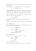Solomon throws the van hard right as they're about to pass a two-lane exit.

Freddy tumbles, almost knocking Brian out the open door.

SOLOMON (O.S.)

Hold on.

Solomon approaches the junction and turns back towards the city center. They mount the curb, head down East Grand Ave. The bullet-ridden squad car and Weaver are still on them. Brian pretends he can't get a clean shot through his mask. Vehicles slip and slide everywhere.

**BRIAN** 

Hit the tires.

His suggestion works, as popping civilian wheels stop traffic.

They get breathing room, the law struggling to wade through.

INT. WEAVER'S CAR

Weaver BARGES between two stalled cars as Jimmy watches the van escape into the distance.

> JIMMY Don't let 'em get away.

WEAVER No way I'm losing these assholes.

JIMMY (ON RADIO) Suspects heading West.

EXT. GETAWAY VAN

Russell looks out through the back. It's clear.

RUSSELL Everyone okay?

GUS

We're good.

Brian goes to shut the doors.

With buildings either side, they blindly run a red light.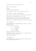They almost clear the intersection when -

INT. / EXT. SWAT TRUCK 2

CRUNCH!

The SWAT driver T-bones them.

Brian goes barreling out through the open rear doors.

EXT. GRAND AVE / MCCLURG CT INTERSECTION Brian tumbles along the asphalt, smashing into a parked car.

The SWAT van sits between Brian and his crew.

Brian raises the gun he'd put over his shoulder, incase anyone exits out the back of the truck yards from him.

Neither driver nor SWAT commander spots Brian in the mirrors.

INT. GETAWAY VAN

Solomon and Russell look despairingly at Brian, who subtly waves them away.

Solomon restarts the engine.

LIZ (O.S.) We can't leave him!

RUSSELL We have no choice.

They take off down Grand Avenue.

The SWAT driver tries to block them, but the heavy armored vehicle has sluggish acceleration.

The gang get away first.

INT. WEAVER'S CAR

As they approach the junction, Jimmy spots someone hobbling away as SWAT pursue the others.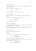The beat-up motor flies towards Brian as he limps left onto Illinois Street.

Weaver SCREECHES around the corner.

JIMMY

Woah!

Brian's standing, aiming right at them.

INT. GETAWAY VAN

Solomon approaches the intersection with North Columbus Drive.

Two police cars up ahead block the junction.

RUSSELL Toss it to me.

Gus throws him an M-16.

EXT. POLICE BARRICADE

The FOUR OFFICERS using their cars as cover are sent running. Bullets destroy both vehicles.

Solomon parts the cars violently, BATTERING THROUGH before turning left towards the river.

EXT. WEAVER'S CAR

Brian and the Detectives face off.

Silence.

Brian pulls up his gas mask and points his gun away.

WEAVER Fuck, that's my nephew.

They exit the car. Jimmy holsters his gun.

The tree-lined East Illinois St. they're on is empty. Brian walks towards them quickly.

> WEAVER (CONT'D) What the hell Brian?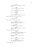BRIAN I know, this is messed up. Listen, there's --

JIMMY -- No you listen! This is over.

**BRIAN** You don't understand, it's Joe.

WEAVER Vialli. You sure?

BRIAN Was as close to me as you are now.

Weaver and Jimmy look at each other.

**JTMMY** You record it?

Brian scoffs. Looks at his uncle.

BRIAN Where the fuck did you find this guy? Record it, you nuts?

JIMMY (Angrily) Why didn't you call this in?

BRIAN Russell took our phones - he knows there's a rat.

Detective Weaver's head drops.

WEAVER I'm guessing he never told Big Joe. Or you'd all be dead already.

BRIAN He needed us all to get to his sister.

JIMMY Now he's got her you're at risk.

WEAVER He's right kid, time to get you out. Your mom will never --

Brian stops him.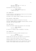**BRIAN** The girl, Uncle John. If I don't go back she's done for.

The Detectives accept he's correct.

BRIAN (CONT'D) If I don't want them to suspect me, I need to go. Now.

INT. GETAWAY VAN

A cop car pulls in right behind as they get onto the bridge, closely followed by the SWAT unit.

Gus opens a box, passes Freddy a grenade. He pulls the pin.

EXT. WILLIAM P. FAHEY BRIDGE

Freddy drops the grenade in the path of the cops.

The blast THROWS THEIR CAR SIDEWAYS through fragile, rusting railings, into the Chicago River.

INT. SWAT TRUCK 2

Flames and shrapnel engulf the entrance onto the bridge.

SWAT COMMANDER Hold her steady.

He leans out, sending a HAIL OF GUNFIRE at the gang.

INT. GETAWAY VAN

The crew duck as bullets ricochet through the van.

RUSSELL Get us cover. Gas the exits.

Freddy opens the back door and dumps two CS cannisters.

A wall of green smoke blankets the air behind.

Darkness sweeps over them as they enter an underpass.

Solomon weaves between static cars, swinging left. Freddy throws a third smoker behind and another to the right.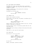EXT. EAST WACKER DRIVE UNDERPASS

The SWAT truck crawls into the fume-filled, gridlocked intersection. Several cars stray into the center in futile attempts to escape.

Dozens of people are on the ground and in vehicles, struggling to breathe.

The SWAT unit are stuck fast.

SWAT COMMANDER (ON RADIO) We lost them.

INT. WEAVER'S CAR

Weaver races towards the harbor.

Brian hides in the back seat. He passes a scribbled slip of paper to Jimmy.

> BRIAN That's where the farm is, and everyone who's there.

Weaver throws the car around the Streeter Drive arc, cutting across a lush park as a shortcut.

Avoiding several trees, he eventually guides them onto the thin North Pier.

PEDESTRIANS hug the fences as Weaver drives mere feet above the water.

They skid to a halt near the canal gates.

EXT. NORTH PIER

Brian hops out, gun on his back.

BRIAN Remember, 6PM tomorrow - if we haven't left the farm by then, storm it. I'll get Anna out.

WEAVER Good luck kid, stay safe.

He runs off.

Weaver, distraught, punches the wheel.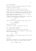# EXT. DU SABLE HARBOR

Solomon pulls up at the small parking area near the docks.

No sirens or commotion follows.

Russell exits first. He looks around. It's quiet.

He opens the sliding door. Gus is already assisting Liz.

Russell takes off his jacket and puts it around her, zipping it up so she's more inconspicuous, despite the bare feet.

Freddy activates a countdown timer -  $10:00'$  - on a small device fixed to the inside of the van.

A suspicious SAILOR watches as they walk down. Gus gives him a wave. It's not reciprocated. He mutters:

GUS

Rich prick.

They board a slick white speedboat. Russell starts her up.

## FREDDY

We waiting for him?

Russell doesn't answer.

Liz stands at the stern, looking back at the city.

EXT. DU SABLE HARBOR BREAKWATER

Brian sprints along a stone path towards open water.

He keeps an eye to his right for movement. He finally spots them, a few docks ahead.

**BRIAN** 

Hey!

They can't hear him over the purring engine as they turn into the exit channel.

# EXT. BOAT

Solomon pulls a sobbing Liz in for a deep hug. She opens her eyes as her head lifts off his shoulder, where she spots -

> LIZ Brian. It's Brian. There.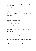Russell slows down and drifts over to a small outpost that towers over the water.

INT. SPEEDBOAT

Brian appears directly above them. He throws his gun down, then leaps in himself.

Liz grabs him and holds him tight. She soon backs off, embarrassed.

Freddy starts laughing - a mixture of relief and disbelief. The others react similarly.

Except Russell.

### EXT. LAKE MICHIGAN

He steers them out into the open water.

BLACK SMOKE and EMERGENCY LIGHTS drift between towers in the distance.

INT. LIZ'S BEDROOM - EARLY EVENING

Anna watches Sally gathering wood outside through a gap in the shutters. This is her chance.

She twists a wire coat-hanger and pokes the keyhole in hope. Nothing there. She looks around the room.

A heavy ornamental poker hangs by a sealed-off fireplace.

Anna picks it up and ATTACKS THE DOOR. The thin plywood panels soon give way.

EXT. FARMHOUSE

A U-Haul truck turns onto the gravel road and slowly heads for the house.

INT. / EXT. LIZ'S BEDROOM

Anna's eye is right up against the shuttered window again

ANNA

Oh no.

She goes at the door with her full might, time running out.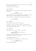Anna claws at the flimsy strips of wood until she can squeeze her petite frame through.

She rushes down the corridor.

EXT. FARMHOUSE

The entire crew exit the vehicle, taking everything inside with them.

> RUSSELL Get that for her, would ya?

Brian walks to the side of the house for the wood, as Sally makes a bee-line for her daughter. They hug deeply.

Sally kisses Liz's cheeks multiple times as she grimaces.

T<sub>I</sub>T<sub>Z</sub> Careful Ma, Jeez.

EXT. FARMHOUSE

Anna gently shuts the back door after her.

The gang are visible through windows, filtering inside.

She scurries along until she's out of sight then runs for the treeline across a small field.

INT. FARMHOUSE

They dump the bags. Liz collapses on the sofa.

SALLY Someone fetch Anna. She's bound to be hungry by now.

Freddy walks into the hallway; his pace quickens as he sees splinters and shrapnel on the floor.

# INT. FARMHOUSE LIVING ROOM

Russell appears from the kitchen as Freddy hollers.

FREDDY (O.S.) She's gone, the girl's gone.

He re-enters, panicked.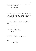Gus is already pulling a rifle from a bag. As he checks the ammo, he goes to the window.

> FREDDY (CONT'D) The door's busted.

> > GUS

Got her.

EXT. FARMHOUSE

Brian is splitting a final log. The THUD echoes all around the still evening air.

He tosses the final piece into the basket, and THUMPS THE AXE into a nearby post to keep it off the damp ground.

Something catches his eye. He looks out at the field.

BRIAN

Shit.

He hops the wall and runs to the rear of the house. He watches Anna as she nears the forest, willing her on.

CREAK.

He looks right as Gus opens the small window and rests the muzzle on the ledge.

> BRIAN (CONT'D) No. Wait!

He runs into Gus' line of sight.

BRIAN (CONT'D) I'll get her.

He turns and gives chase.

INT. FARMHOUSE LIVING ROOM

Gus keeps his aim on her. He looks to Russell.

LIZ (O.S.) Fuckin' shoot her.

Beat.

RUSSELL Put the gun away.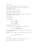EXT. FOREST

Anna runs between trees, Brian a little behind her.

She zigzags in and out until she finds a large trunk, kneeling down behind it.

Her breathing is heavy, frantic.

She clamps both hands over her face.

Tears stream down. She's shaking.

She slowly moves her head out from safety, looking back to see where her captor has gone.

No-one there.

As she turns back -

Brian GRABS HER.

ANNA AHHHH. No. Let me go!

BRIAN Calm down. Hey.

He places a hand over her mouth.

His face is right up to hers, eyes locked intensely.

BRIAN (CONT'D) If you run, they'll kill you.

She breaks down. He lifts her head back up, pulls the hair away from her face.

His palms on her cheeks, she looks at him with terror in her eyes.

> BRIAN (CONT'D) I'm a cop.

EXT. FIELD

Gus, Solomon and Freddy are spread across the field.

They advance quickly on the forest, armed.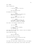Anna is hysterical.

BRIAN I told you before to trust me.

ANNA How could you do this?

He shushes her, whispers.

BRIAN This will all be over tomorrow. My people know where we are.

ANNA All the things they've done. How can you --

#### BRIAN

-- You need to stay strong. One more night. I know it's asking a lot but I'll protect you. Please?

She looks to the heavens. Pleads with him.

ANNA Just let me go.

BRIAN We need to do this together. (Pause) Will you help me?

She looks into his eyes again, trying to work out whether he's telling the truth.

Brian steps back slowly.

GUS Help you with what?

Gus is not far away, gun raised.

Brian spins Anna and starts walking her back.

#### BRIAN

Help me keep her dumb ass alive.

Gus steps into their path, tightens his grip on the weapon. He eyeballs Brian suspiciously. Brian stares right back.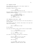INT. FARMHOUSE KITCHEN

Brian dumps Anna into a seat at the table. Russell is stirring a cup of coffee.

He places it down in front of her.

RUSSELL Do that again and we gut you. OK?

She says nothing, grabbing the mug and holding it between her trembling hands for warmth.

> RUSSELL (CONT'D) Fred, take the rest through. Liz and I got questions to ask. (Pause) Sol, you're up first.

INT. FARMHOUSE LIVING ROOM - LATER

Freddy leans on the wall by the door. He's the only person in the room armed.

Gus lounges by the fire, nervous. Anna stays as far away from them all as possible.

> GUS What's taking them so long?

No-one answers.

Gus turns and stares at Anna, then at Brian. He half-laughs.

GUS (CONT'D) You're not like us, you know that?

BRIAN The fuck you talkin' about?

Gus looks up at Freddy, who pays him no attention.

GUS He ain't one of us. You, Liz, Russ we all served. He don't belong.

FREDDY Shut up Gus.

GUS I'm serious man. Pretty boy here's desperate to protect the girl. Why?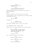BRIAN We need her. If you can't understand that --

GUS -- We DID need her. Now we don't. Seems like you wanna save her?

Anna keeps her head down, fully aware Gus and Sally are giving her daggers.

SMASH.

The heavy kitchen door almost comes off the hinges.

Solomon removes a pack of cigarettes from his leather jacket; irately yanks one out.

> BRIAN You okay dude?

He storms out.

RUSSELL (O.S.) Gus, get your ass in here.

Gus stands, breathes, walks tall into the kitchen.

INT. FARMHOUSE KITCHEN - SHORTLY AFTER

Russell and Liz sit across from Gus as he vents furiously.

GUS

And how fuckin' long you known me? Both of ya. Had your back in the field who knows how many fuckin' times. And now this?

RUSSELL

Calm down.

Gus' clenched fist smacks off the table.

LIZ Answer the fucking question.

GUS

Yeah, I went broke. So what.

RUSSELL They offer you a deal?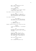GUS Who? I don't know who the fuck you're talkin' about! RUSSELL Feds? Chicago P.D.? (Pause) You got off with an assault charge a while back, didn't you? Gus looks at them. He changes his tone. GUS My lawyer found out some stuff about the witness - turned out the guy had previous. Wasn't reliable. Liz looks at Russell. GUS (CONT'D) It's Brian man. Had a bad feeling the minute you two started dating. LIZ (Apoplectic) You saying he used me? Russell calms her down with a hand onto hers. RUSSELL I met him inside Gus. I introduced them. LIZ We dated for a year before Russ took him in. Nah, he ain't the law, I'd know. GUS Something's off. He won't let anyone near that chick, and they were whispering sweet nothings in the forest when I found them too. LIZ That bitch through there? RUSSELL Don't change the subject Gus.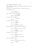Brian enters the kitchen where Freddy and Russell await, and shuts the door. The rest sit in silence except Liz, standing quard now. She GLARES at Anna. LIZ Take my sweater off. Anna looks up at her, bewildered. LIZ (CONT'D) Take. Off. My. Fuckin'. Liz pulls back the hammer. LIZ (CONT'D) Sweater! Solomon jumps into her path. SOLOMON Woah, Liz, chill. SALLY What are you doing Elizabeth? Brian comes back in upon hearing the commotion. LIZ Don't want this cunt in my clothes. BRIAN What's she supposed to wear?

Liz turns to him, annoyed.

LIZ Give her something of yours.

BRIAN Fine, I will. Put the gun down.

Russell and Freddy enter.

LIZ Why are you so protective of her?

RUSSELL

Lizzie.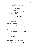T<sub>I</sub>T<sub>Z</sub> Think she'll forget all this?

She's right up in Brian's face now with fake puppy dog eyes.

LIZ (CONT'D) Think you'll live happily ever after, that it? (Mocking) Think she'll even last the night?

RUSSELL Lizzie. Enough.

She backs off as Russell eyeballs Brian dubiously.

RUSSELL (CONT'D) Brian, back in. Rest of you to your rooms. Freddy, take Anna upstairs.

Sally guides Liz away, ending the conflict.

INT. BRIAN'S ROOM - LATER

Brian sits up against the headboard of the tall antique wooden bed. He looks tense.

He gets up and paces. Looking in the full length mirror, shadows caused by the dim corner lamp blanket his face.

The whites of his eyes stand out. Worry engulfs them.

He approaches a dilapidated window, sliding it up and peeking outside.

EXT. FARMHOUSE KITCHEN WINDOW - MOMENTS LATER

Brian sneaks up to the edge of the window. It's single-paned; he can hear every word.

> LIZ (O.S.) It could've been someone letting slip. Being overheard, y'know?

#### INT. FARMHOUSE KITCHEN

Russell, Liz and Freddy are at the table.

RUSSELL We're agreed it wasn't Sol then?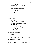FREDDY He's done time for a lot less. He hates the pigs too much to turn.

LIZ Well it couldn't have been Brian. It couldn't have.

RUSSELL Lizzie - it's one from two. You have to take feelings out of it, same as I do with Gus.

T<sub>J</sub>T<sub>Z</sub> So how do we find out?

EXT. FARMHOUSE KITCHEN WINDOW

Brian looks concerned.

RUSSELL (O.S.) I'll call Big Joe. See if they got anyone who can do some digging.

FREDDY (O.S.) Or he might just want us to get rid of both of 'em.

LIZ (O.S.) In the meantime, why is she still breathing? She's a liability.

RUSSELL (O.S.) I'll do her quietly later tonight.

The gravity of the situation hits Brian.

He disappears into the shadows.

INT. BRIAN'S ROOM

Brian falls inside. A thin film of sweat covers him.

He slumps onto a padded chair by the door, head resting back against the wall.

He shuts his eyes for a few seconds.

Brian turns abruptly, placing his ear onto the wallpaper.

He can make out the mumbling of a one-sided conversation.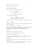There's a knock at Gus' door.

Brian goes to his keyhole.

INT. FARMHOUSE CORRIDOR

Sally waits. Gus eventually opens it.

SALLY<sub>S</sub> We locking doors now?

GUS

I don't trust anyone today.

Sally begins walking away.

SALLY

Come on, I've made you a sandwich. Everyone else ate but you.

Gus hesitates, then walks out and locks his door behind him.

INT. GUS' BEDROOM

Spotting a gap, Brian slips his fingers under the window and lifts it quickly.

With no time to spare he climbs in.

Brian begins searching coat pockets; under the mattress and pillows; inside shoes; between folded clothing - always ensuring each item goes back in its exact place.

Nothing.

He's frozen in the center of the room.

Looking around, nothing seems out of place.

He lifts his gaze, squints.

He pulls up a chair and stands on it to look closer at the dusty light fixture dangling from the ceiling.

A HANDPRINT.

The thick dust coating has been interrupted. Brian reaches over the top.

He pulls a vintage flip-phone out. He opens it up and gets straight into it and activates the call log.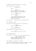ON SCREEN: THE MOST RECENT CALL IS TO 'CLAIRE'.

Brian quickly dials in a number.

WEAVER (O.S.) Hello?

BRIAN

Hey, it's Brian. Next time this calls I need you to pick up and say 'Detective Weaver'. You got that?

WEAVER (O.S.) Yeah, but I don't --

BRIAN

-- It'll get me off the hook. And release all of our names as a news alert. Social media too, or the girl's dead tonight.

Brian hangs up. He carefully puts the cellphone back.

EXT. FARMHOUSE - NIGHT

The group are outside as Sally says her good-byes.

RUSSELL Thanks for everything Mom.

SALLY Anything for my babies.

She hugs them as she steps into her car.

LIZ Drive safe Ma, we'll call you soon.

EXT. NEIGHBORING BARN

As the gang return inside, the duo watching them report.

FEMALE STAKEOUT OFFICER Perimeter team, be advised - the mother is departing the farm. Pick her up down the road. Over.

INT. FARMHOUSE LIVING ROOM - LATE NIGHT

Russell, Liz and Freddy gaze at CNN as the headline 'Chicago bank killers named' accompanies thumbnail images.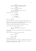T.TZ I don't understand. They had nobody but us two when they questioned me.

FREDDY Unless they were bluffing?

RUSSELL No, they wouldn't have gone for the decoy in that case.

Brian bursts into the room.

FREDDY Told y'all to stay --

BRIAN -- I heard something.

INT. GUS' BEDROOM

The door CAVES IN, closely followed by Freddy's size 13s.

The four of them enter. Brian hangs back as Freddy, Liz and Russell start turning the place upside down.

Clothes, books and belongings are discarded at will.

Gus returns from taking a shower, irate.

GUS (O.S.) Hey! What the fuck you think you're doing?

Gus is about to hit Brian when he sees the others among his belongings.

Towel around his waist, he confronts them.

RUSSELL Where is it?

GUS Where's what?

Russell HEAD-BUTTS HIM.

Gus goes thundering into the wall, clutching his bust nose.

Russell doubles down with a PUNCH TO THE GUT. Gus sinks to his knees, struggling for breath.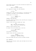Brian drags him back to his feet and shoves him against the wall by the throat.

> RUSSELL Where's the fuckin' phone?!

Gus' expression changes. He looks defeated.

GUS

Up there.

Freddy pulls a seat over and locates it. He throws the cell to Russell, who opens it up and presses a few buttons.

Russell puts it to his ear.

WEAVER (O.S.) Detective Weaver.

RUSSELL'S FACE GOES RED.

He calmly removes the battery cover and SIM card. He snaps it before pulling a gun.

Russell sticks the barrel between gus' eyes.

GUS Hey, I was just calling my girl. Boss, I think you're overreacting?

Russell's heavy breathing slows.

He lowers the gun and shoots Gus in the foot.

GUS (CONT'D) AAAAAAHHHHHH!

Gus writhes on the ground.

Russell hovers over him, screaming down:

RUSSELL A fuckin' cop answered! After everything... Take him out back.

Brian and Freddy drag their wailing colleague outside.

EXT. FARMHOUSE

They carry Gus through a small gate and dump him onto frostcovered grass.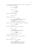of a bedroom window above. RUSSELL Any last words? GUS I didn't  $-$ RUSSELL -- That's plenty. Russell cocks the hammer. LIZ Bro, wait. She pulls him aside. LIZ (CONT'D) If he was talking to them we should know what they know, right? (Pause) They could be watching right now. Russell looks around; sees and hears the trees sway. RUSSELL They here? Gus looks confused. He puts his hands up. GUS Who? (Pause) I ain't talked to no cops, man. I swear on my mother's life. RUSSELL We'll deal with her later.

A full moon illuminates the scene for Anna, who watches out

They haul Gus inside again.

Liz motions upstairs at the retreating Anna.

LIZ

And her?

Russell thinks on it for a moment.

RUSSELL They know who we are. We'll kick her out down the road - kill her and we're public enemy number 1.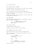## Liz looks crestfallen.

INT. SOLOMON'S TRUNK - MORNING

Footsteps approach. Daylight pours in as the trunk is opened.

Freddy looms large as he bundles Gus inside.

Gus' interrogation has left him barely recognizable.

His face is heavily bruised and swollen. Dry blood seeps from several lacerations.

He lets out a whimper as he struggles to curl up, hands tied. Freddy SLAMS the trunk shut.

# EXT. NEARBY BARN

Three cops watch through binoculars, from behind a rusting Jeep on neighboring farmland.

> STAKEOUT OFFICER (ON RADIO) Looks like they're preparing to leave. Over.

### EXT. SWAT HELICOPTER

An impatient rotor WHIRS LOUDLY.

Gunmen jog across a rooftop, fully geared up.

INT. FARMHOUSE LIVING ROOM - LATER

Russell gives each of the crew their cellphones back.

Anna sits nervously in the corner. Brian walks over to her with a thick shawl.

> BRIAN This should make you more comfortable.

> > ANNA

Where?

BRIAN In the trunk. Sorry. Can't release you if you know where we've gone.

She looks scared.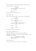Brian helps her to her feet and tenderly guides her out.

Liz gives Brian a filthy look.

RUSSELL I'll go with him. You travel with Sol and Freddy.

LIZ What? Why?

Russell gives her a knowing look.

EXT. BRIAN'S CAR

Brian lays the shawl down in the trunk, as he whispers.

BRIAN It'll be over soon.

ANNA What if they figure it out?

BRIAN

I took care of it. When all this is over, I'll make it up to you.

ANNA

Promise?

BRIAN

Promise.

She smiles, for the first time.

EXT. MAFIA CAR WINDOW - DAY

THREE MOB HEAVIES sit patiently by the roadside.

They watch the traffic roll by. The elder statesman in the passenger seat speaks:

> OLD MOBSTER (ON PHONE) That's ten minutes, ain't no pigs following you.

INT. BRIAN'S CAR

The sun reflects off a thin layer of lying snow.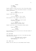Russell hangs up, rests his arm out the rolled down window.

Brian, shades on, cruises along behind Solomon's old-school Lincoln Continental.

> BRIAN Where you wanna drop her off?

Russell looks over at him.

RUSSELL I'm not as dumb as I look, y'know.

Brian glances at him. Russell laughs heartily.

BRIAN Fuck off. I just don't see the need to prolong her misery.

RUSSELL I'm sure that's it Romeo. You're lucky Liz never got hold of her.

Russell looks back out at the passing scenery again.

BRIAN Things just didn't --

RUSSELL -- Save it for her.

Brian watches Liz half turn and look out the back window of the car in front.

INT. HELICOPTER

From high above, the cars are lost to the naked eye among other moving dots below.

> HELICOPTER PILOT (ON RADIO) We have eyes on both vehicles. All units hang back.

INT. JIMMY'S CAR

Weaver turns the radio up as the message comes through.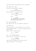Jimmy tails squad cars and SWAT vans along the highway.

INT. BRIAN'S CAR - LATER

The Lincoln's blinkers start flashing.

BRIAN Boss. They're turning off.

Russell wakes with an animalistic moan.

RUSSELL Follow him. Got a pit-stop.

BRIAN

Anna?

RUSSELL Gus. Dropping him off with Eddie the Italians want to talk to him. Gotta pick up some stuff too.

EXT. ITALIAN RESTAURANT

Both vehicles pull into the restaurant's parking lot.

INT. BRIAN'S CAR

Russell walks over to the 'STAFF ONLY' door and knocks.

A rotund SECURITY GUARD in a slick suit opens the door and chats to him.

Russell returns to Brian hastily.

RUSSELL

Let's go.

EXT. / INT. ITALIAN RESTAURANT

Russell tells Liz and Solomon to follow also.

# RUSSELL No weapons or phones.

Brian throws his handgun and cell under the seat.

They follow Russell to the side door.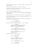Brian looks surprised at the level of caution.

Russell leads the way, turning a few corners before they arrive at a private dining area.

INT. ITALIAN RESTAURANT BACK ROOM

Scattered around the back room are MULTIPLE MOB HENCHMEN of varying ages.

The majority sit with large plates of food, laughing away.

At the corner table sits Big Joe, dressed impeccably in a 3 piece pinstripe suit.

He drops his fork as they enter AND takes an angry puff on his cigar, then stubs it out.

> BIG JOE Fuck they doing here?

Russell gives the blank-faced Eddie a look of death.

RUSSELL Dropping off our snitch, as agreed with this 8-foot empty-headed moron. If I knew you were here --

BIG JOE -- You fuckin' idiot! Why'd you invite them with the heat they got?

EDDIE Thought you'd wanna deal with it personal like?

Russell shakes his head, fuming.

BIG JOE You keep him alive?

RUSSELL Yeah, didn't give us much but figured you may do better.

BIG JOE He'll talk to us. Where is he?

RUSSELL In the trunk outside.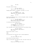BIG JOE

Vito!

The guard comes through.

BIG JOE (CONT'D) Take in Russ' gift from the car.

Freddy passes Russell a backpack. He hands it to Joe.

RUSSELL Gus' money from the bank - make amends for the trouble he caused.

BIG JOE

Grazie.

Big Joe zips open the bag a little and peeks inside. He seems more than satisfied.

> BIG JOE (CONT'D) How 'bout you Miss Barnes? Feelin' better since they got you back?

Liz smiles and nods respectfully.

BIG JOE (CONT'D) Took one hell of a risk your bro. (Pause) But I understand why he did it.

Dual footsteps can be heard entering the room behind them.

BIG JOE (CONT'D) Now, you'd better leave before... Who's this?

Brian turns around, to see -

ANNA.

The oblivious Vito holds her with a blank expression.

VITO Your gift. From the trunk.

Brian shuts his eyes briefly.

They all know what this means for her, now she's seen Joe.

RUSSELL Wrong car, you stupid fat fuck.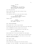BIG JOE Language. (To Anna) I'm sorry my dear, you shouldn't have to hear that vulgarity. Mind waiting outside 'til we finish?

She looks petrified.

More so when she sees the look on Brian's face.

Tears begin to form.

Vito walks her back out as the room falls silent.

BIG JOE (CONT'D) I'm surrounded by useless fuckwits. You gotta care of that.

Russell nods.

RUSSELL Brian, put her back in the car. Sol, Freddy - get Gus.

### EXT. ITALIAN RESTAURANT

Brian gives Vito a look of pure hatred.

He snatches Anna away from him as they take their keys back.

She is HYSTERICAL as Brian leads her by the arm.

Sol and Freddy go in the direction of the other car.

BRIAN Stay calm. You trust me, right?

Brian takes her to the rear and opens the trunk again. He looks over at the others, their focus on retrieving Gus. Quick as a flash he slides into the front of his car and grabs his gun and cellphone.

## EXT. BRIAN'S TRUNK

Anna jumps back inside.

Brian looks over as they pull Gus from the Lincoln. He types 'IT'S ON. JOE HERE!', then sends the text to Weaver.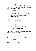The keys are in the ignition. When it kicks off, get outta here.

He looks back down at her reassuringly, dropping the phone in before he shuts the trunk loosely.

### EXT. ITALIAN RESTAURANT

Brian walks behind the others, ensuring his gun is hidden.

As they approach the door, Freddy half-turns and shouts.

FREDDY Hey, maybe you should stay with the girl? In case she...

HE STOPS DEAD.

His gaze moves skyward.

FREDDY (CONT'D)

Is that?

They look up as a chopper swoops into view.

VITO Fuckin' cocksuckas!

He pulls his pistol out and starts shooting at the helicopter.

Brian draws and SHOOTS VITO POINT BLANK.

Realization washes over Freddy and Solomon.

As Freddy hauls Gus to safety, Solomon pulls his concealed handgun and takes aim at Brian.

Bad move.

Two high-caliber bullets from an unseen marksman above CUT HIM DOWN instantly.

Sirens WAIL as police vehicles appear en masse.

INT. ITALIAN RESTAURANT BACK ROOM

The mafia are already tooling up.

Russell and Liz grab a gun each.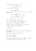Freddy and Gus stumble into the room.

FREDDY It's Brian, he's a cop!

Liz's face drains of color.

BIG JOE What have you done?

Russell looks lost. You can see it in his eyes - the betrayal crushes him.

> FREDDY There's an army of them out there.

BIG JOE Well there's a fuckin' army here too.

EXT. ITALIAN RESTAURANT - MOMENTS LATER

Anna is already sliding into the passenger seat

Brian jumps in and reverses away at speed.

A mobster bursts out the restaurant's front entrance.

He walks at Brian BLASTING A SHOTGUN.

CUSTOMERS FLEE.

INT. BRIAN'S CAR

Brian pushes Anna's head down as he looks out through the back window.

Armed officers appear behind Brian's car.

EXT. ITALIAN RESTAURANT

They take out the gunman.

Brian expertly weaves his way backwards between the lawmen. The cops form a perimeter around the car park.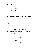Brian reverses out of sight of the restaurant. He stops the car as a DOZEN UNIFORMS run past.

BRIAN

You okay?

He surveys her for damage.

She lunges, hugging him for dear life and crying her eyes out on his shoulder.

> ANNA Thank you. Thank you.

Anna clutches his face tenderly and kisses him on the lips. Brian reciprocates for a brief second.

> BRIAN This probably isn't --

ANNA -- I'm sorry. I shouldn't have.

He smiles.

BRIAN I have to go. I'll find you after.

EXT. JIMMY'S CAR

Brian jogs to the Detectives, who flank Captain O'Neill as she fastens a bullet-proof vest.

They're deep in discussion with other high-ranking officials.

WEAVER Here he is. You okay?

BRIAN

Yeah.

CAPTAIN O'NEILL Glad you made it out. What's the situation?

BRIAN Everyone's in there.

CAPTAIN O'NEILL

Vialli?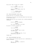Brian nods. They go silent for a moment.

**JTMMY** We got enough to connect him?

BRIAN Money from the robbery; guns; the witness.

CAPTAIN O'NEILL I'll brief the troops.

INT. ITALIAN RESTAURANT DINING AREA

The mob have got all entrances covered.

The majority of the men are stationed behind the thick walls of the service area.

Between them and the force outside lies a recently-abandoned restaurant.

> FREDDY We don't have the firepower.

RUSSELL Got a shot with what's out there.

He points at Solomon's exposed car.

FREDDY Can we get to it?

BIG JOE I'll get a coupla' boys to shoot from the front.

RUSSELL I'll cover at the side door, if you think you can make it?

Freddy nods.

# INT. ITALIAN RESTAURANT BACK ROOM

Liz is making sure the semi-conscious Gus is comfortable as Russell re-enters.

> RUSSELL Gus. I... I'm sorry. I should've believed you.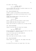Gus cowers, says nothing.

RUSSELL (CONT'D) We'll figure a way out.

Liz sits herself down and sets an automatic weapon up on the table, pointed at the corridor.

#### EXT. ITALIAN RESTAURANT EXIT

Solomon's corpse is surrounded by blood-soaked gravel.

Russell eyeballs the bushes and buildings across. No cops there yet.

Freddy looks through a hole in the ajar door at the assembling law enforcement.

#### FREDDY

Gotta be now.

Russell lunges out and drags Solomon's corpse inside.

Bullets PEPPER THE DOOR as Freddy flinches.

Russell goes through Sol's pockets until he finds the keys.

#### INT. ITALIAN RESTAURANT

Gunmen are waiting under the large front windows.

### RUSSELL (O.S.) Nail that fuckin' bird.

The mob unleash hell, shattering the glass above as they fire at the helicopter. It returns in kind.

One of the Italians gets his FACE BLOWN OFF.

Another's caught in the arm.

They crouch again and shoot blindly. It works.

### EXT. ITALIAN RESTAURANT

Russell peeks over the open door. The chopper veers away.

RUSSELL

Go.

He strafes left and holds the trigger down at the cops.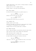Freddy speed-walks to the Lincoln, holding Solomon's lifeless body in front of him.

Bullets thud into Sol's padded cadaver.

Russell drops to one knee and aims properly.

EXT. POLICE CORDON

He KILLS TWO COPS efficiently as gunfire pours in.

# **BRIAN** Don't let him get to the car!

Nobody can hear Brian over the chaos.

BRIAN (CONT'D) Shit. With me.

The Detectives follow him as he runs off.

INT. SOLOMON'S CAR

Freddy cranks the door open.

Using all his might, he lifts Sol's body inside and crushes it up against the passenger door and window.

Freddy drives the thirty yards back to Russell.

#### EXT. NEARBY BUILDING

Brian, Jimmy and Weaver are sprinting along the next block. They round the corner, back towards the restaurant. They cautiously enter an empty lane. Brian subtly peers out at the rear of the car park. He sees Freddy unloading the trunk by the door.

# BRIAN They got the weapons.

Jimmy has a look out, then canvasses the rest of the area.

JIMMY We need more people covering that back alley exit.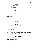INT. ITALIAN RESTAURANT BACK ROOM

Freddy and Russell drag two heavy bags in.

BIG JOE Now we're fuckin' talkin'.

They dish out the heavy artillery.

T<sub>J</sub>T<sub>Z</sub> Did you see him? He still there?

Russell ignores her.

She walks over, until she's right in his face.

LIZ (CONT'D) I'm not leaving 'til he's dead.

RUSSELL Have you lost it? Fuck him. We get him another time.

BIG JOE Longer we're here, worse it gets. Hit 'em with it all and run.

# EXT. NEARBY BUILDING

The air is still.

The LOW HUM of helicopter blades keeps tension ticking.

Jimmy and Brian watch as a squad car blocks the back exit.

Weaver gives them a thumbs up from across the way.

He kneels behind the low wall, now lined with officers.

JIMMY (ON RADIO)

Move in.

Brian looks out as a SWAT team work their way towards the restaurant from the front.

At the same time, Jimmy and Brian cautiously make their way towards Solomon's car at the side door, when -

Brian gets SHOT TWICE.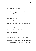Liz pops up:

# LIZ

# Rot you prick!

Jimmy returns fire at the door.

Brian unfastens his black padded vest so he can breathe.

He looks at the inside; two bullets made heavy dents.

### JIMMY

You okay?

Brian nods.

INT. ITALIAN RESTAURANT

Russell drags Liz inside.

# RUSSELL What the hell you doing?

He looks back out. Jimmy is walking Brian back to the corner. Russell motions to the mafia gunmen that it's time to go.

### EXT. ITALIAN RESTAURANT DINING AREA

As the SWAT team squat by the windows a waterfall of glass rains down on them.

The mafioso strike first. HEAD-SHOT.

Then one of their own is struck down.

People on both sides fall.

BULLETS AND BLOOD EVERYWHERE.

# EXT. ITALIAN RESTAURANT

Freddy scrambles into the Lincoln's driver's seat.

TWO MOB GUYS jump into the back seat and hide.

Freddy moves forward a few yards to give him a better angle of reverse to the mobsters car.

He spots the police out back, and shoots at them, but hits only bricks as Weaver and the rest duck for cover.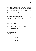Concrete chunks jump up around Freddy's car.

Errant shots rain down from above as he reverses recklessly.

Freddy SMASHES THROUGH parked vehicles before coming to rest by a white Cadillac. The two men exit; the first gets killed as he touches the door handle.

His friend wastes no time jumping over him and getting the fuck out of there.

Both cars race back to the staff door.

EXT. NEARBY BUILDING

Jimmy shoots at the returning Lincoln.

The cops surrounding the back exit get brave as Brian and Jimmy start firing from the other side.

#### WEAVER

Go, go.

Two uniformed men sidestep along until -

RUSSELL SHOOTS THEM BOTH.

Hiding behind an exterior vent, he launches a defensive.

Russell turns and targets Brian and Jimmy immediately after.

RUSSELL TAKE THIS YOU SON OF A --

A bullet from the helicopter grazes Russell's arm.

INT. ITALIAN RESTAURANT

Freddy pulls him to safety as he re-enters.

BIG JOE We need to go, right now.

RUSSELL Won't get far if we don't get rid of the chopper.

BIG JOE How the fuck we gonna do that?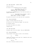INT. SWAT HELICOPTER - SHORTLY AFTER

The pilot hovers.

He looks on as an expanding police force gather.

HELICOPTER PILOT (ON RADIO) Suspects remain inside. Several casualties. Wait. We have movement.

He watches as A HENCHMAN pops out the front and shoots in several directions.

> HELICOPTER PILOT (ON RADIO) (CONT'D) We have a lone gunman. Disappeared again. They... is that a... SHIT!

He yanks the controls as far back and left as possible.

EXT. ITALIAN RESTAURANT

Russell crouches between the two cars.

He looks up at the retreating chopper. One eye shut.

He steadies himself.

He flicks the safety off, before -

FIRING AN RPG.

#### INT. SWAT HELICOPTER

Blinding light fills the cockpit. They are ANNIHILATED.

EXT. ITALIAN RESTAURANT

Fiery shrapnel floats back to earth in the distance.

RUSSELL

Go.

Freddy and a mafioso scuttle past him, clambering their way into the front seats.

## LIZ

Come on.

She tries to take her brother with her.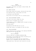## RUSSELL I need to stick with Joe.

She agrees, reluctantly, and jumps in behind Freddy. TWO MOBSTERS follow.

# EXT. NEARBY BUILDING

Brian steps forward with purpose, shooting with each step.

The inhabitants duck. A back window rolls down.

Liz springs up and FIRES BACK.

Brian dives for the fragile cover of a concrete pillar.

### EXT. ITALIAN RESTAURANT ALLEYWAY

The hood of the Lincoln creeps into view.

Weaver and his colleagues start firing.

A hand appears, rolling a GRENADE under the squad car being used as a blockade.

The cops scatter.

The explosion FLIPS THE CAR onto its roof.

Freddy rams through it and speeds off down the alley.

### EXT. ITALIAN RESTAURANT

Russell and Big Joe sit up front as the remaining TWO MAFIA GUYS carry Gus into the back seat.

# BIG JOE Hurry the fuck up.

The door slams shut as GUNFIRE PULVERIZES THEM.

The officers in the alleyway have barely recovered as the second getaway vehicle roars out.

By the time Brian and Jimmy reach the groggy Weaver, Russell's car is consumed by the dust cloud in its wake.

Jimmy grabs Brian. They sprint back through the car park.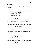INT. JIMMY'S CAR

They join a frantic chase and gain slowly on the pack up ahead - squad cars follow their lead as they weave in and out of heavy traffic.

INT. WHITE CADILLAC

Gus, already in a bad way, has taken a bullet to the gut.

MAFIA HENCHMAN 1 He's going into shock.

BIG JOE They're gaining on us.

BLOOD and PANIC create a claustrophobic space.

RUSSELL The car's too heavy, we need to get off the freeway.

Joe turns and gives one of his men a knowing look.

The well-built goon exerts no effort as he grabs Gus' lapels.

In one fluid movement he opens the back door and passes Gus over his lap head-first.

RUSSELL (CONT'D)

No!

INT. POLICE CAR

The officers see Gus TUMBLE INTO THEIR PATH. The driver tries to avoid running him over but there's nothing he can do.

INT. WHITE CADILLAC

Russell is punching the wheel in fury.

BIG JOE We had to. He was done for.

RUSSELL PULLS A GUN.

Rather than aim at Joe he points it over his shoulder without looking. He EXECUTES the man who'd thrown Gus out.

RUSSELL

Dump him too.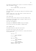The remaining henchman puts a pistol to the back of Russell's head. Joe pushes it away.

> BIG JOE You're fuckin' nuts, you know that?

#### INT. SOLOMON'S CAR

The three gunmen in the back get ready as the Cadillac glides by them.

Russell looks over to Liz, who cracks a nervous smile and pulls a shotgun up to her chest.

INT. POLICE CAR

The driver sways across lanes as the first gunman fires.

The mafioso in the middle send a stream of rapid fire out through the back window.

The front tire BLOWS UP.

The squad car SOMERSAULTS FORWARD along the freeway.

Two tailing cop cars just manage to squeeze past.

INT. SOLOMON'S CAR

The gunman behind Liz gets shot and killed.

He flops over the door like a wet cloth.

The guy in the middle pulls him back in, crying and wailing as he cradles him.

> LIZ Toss him. MAFIA HENCHMAN 3 È mio cugino! LIZ What did he say? MAFIA HENCHMAN 4 It's his cousin. MAFIA HENCHMAN 3 Fanculo, stronza. He's going

nowhere. Fuckin' pigs!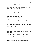He spins around and shoots wildly.

Dark red chunks hit the dashboard.

Freddy looks down as a head comes to rest against the stick a perfect bullet hole in his left eye.

EXT. POLICE CAR

The driver slingshots around a civilian's car, flanking the Lincoln before Freddy can cut them off.

INT. SOLOMON'S CAR

The windscreen is blanketed in holes.

Bullets RIP ACROSS Freddy's body.

Liz gets hit several times too.

She tries to reach for the wheel as Freddy checks out.

MAFIA HENCHMAN 4

Look out!

They sideswipe someone and spin out of control, clattering into the central reservation at high speed.

Two squad cars box them in.

FLAMES ENGULF THE VEHICLE.

INT. JIMMY'S CAR

Jimmy is forced wide to avoid the cop cars surrounding the burning wreck.

SLOW-MO: BRIAN SEES A BLOOD-SOAKED, DYING LIZ IN THE PASSENGER SEAT AS THEY PASS.

His eyes are full of regret as he looks back.

INT. SOLOMON'S CAR

Liz looks emotionally at Freddy; his eyes rolled back.

Fire surrounds her.

She watches the cops sprint towards her from all sides.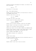Bleeding profusely and gasping for breath, Liz stares at the gun in her hand.

LIZ

Fuck it.

She sticks it in her mouth.

INT. / EXT. WHITE CADILLAC

Russell, Big Joe and the gunman in the back seat all react at the FIREBALL behind them.

Russell's eyes start to fill up.

RUSSELL

Was that...

The other two look at each other.

Russell grips the steering wheel tighter.

RUSSELL (CONT'D) Alright cocksuckas.

Russell pulls an erratic maneuver. They exit the highway.

Russell doesn't slow down as he enters a tight street.

Jimmy's not far behind, hunting them down.

Pedestrians shelter from the RAPID GUNFIRE and SPEEDING CARS.

Russell flies through a couple of red lights before a large truck reverses into their path, blocking the road.

Russell SLAMS ON THE BRAKES. Too late.

They swerve straight into a parked car.

Beat.

Russell stirs slowly.

He takes the assault rifle away from the unconscious goon, as a badly injured Joe pleads.

> BIG JOE Don't leave me.

Russell doesn't even look at him as he exits.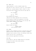### EXT. JIMMY'S CAR

Jimmy screeches to a halt as Russell opens fire.

They duck for cover, slide out of the car, circle behind. Another car, carrying Captain O'Neill, skids to a stop. The bullets whizz overhead as she and two cops jump out.

> **JTMMY** He's running.

#### **BRIAN**

Get Joe.

Brian SPRINTS after Russell.

Jimmy and the Captain approach the car cautiously.

Big Joe gazes up, defeat and acceptance in his eyes.

Bernice holds her aim, tears start to fill her eyes. Her finger SLOWLY TIGHTENS on the trigger.

#### JIMMY

Cap. We got him.

Bernice lowers her weapon.

CAPTAIN O'NEILL 'cuff the piece of shit.

### EXT. STREET

Russell's leg is mangled. He turns to see Brian fifty yards behind and fires a few rounds over the heads of shoppers. Everyone starts running at Brian. He sidesteps through them.

Russell cuts off into a run-down mall.

Brian cautiously approaches the entrance.

INT. MALL

Brian creeps in, semi-auto wedged against his shoulder.

He scans the crowd as they vacate quickly.

A SCREAM from below.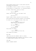Brian gingerly works his way to clear plastic barriers surrounding the escalators.

An OLD WOMAN is frozen in terror in front of a fountain. Sitting behind, on a marble wall, is a shattered Russell. He takes a deep breath, looks up at Brian.

#### RUSSELL Come on down.

Russell jabs the muzzle into the woman's neck.

BRIAN

Let her go.

Russell laughs, stands, and puts his arm around her. Brian ducks below the escalator handrail as he descends. He inches out at the bottom and takes a knee; aims.

> RUSSELL You really want her blood on your hands, as well as my sister's?

BRIAN That wasn't my fault.

### RUSSELL You betrayed us!

Brian lowers his weapon.

BRIAN I never took her into this life.

Guilt washes over Russell.

EXT. MALL

Jimmy jogs along the sidewalk, head on a swivel.

As he quickly glances down alleyways, his attention is drawn to SEVERAL PEOPLE streaming from a doorway.

INT. MALL

Russell composes himself.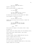Russell's head drops.

Brian circles briskly to a nearby stall.

**BRIAN** It's over Russ.

RUSSELL You know I won't go back. So what's this old girl's life matter?

He steps away and places the gun against her temple. She struggles to stand with the fear.

> **BRIAN** You don't have to do this.

Russell pulls her away from the fountain, towards the escalators.

> RUSSELL Only way she lives past the next five seconds is if you surrender.  $4.3.2 -$

#### BRIAN

-- Okay.

Brian places his weapon on the ground, kicks it away.

He steps out.

Russell shoves the elderly woman onto the ascending stairs.

Brian walks slowly towards Russell, arms raised.

Russell smirks.

As Brian reaches, Russell SMASHES HIM with the butt.

Brian's crumples under the force.

Russell kicks him in the ribs. Then the face.

Brian spits blood on the shiny floor.

He looks around as TERRIFIED PEOPLE watch on from stores.

Russell drags him to his knees.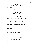RUSSELL My friends. Our friends. Dead!

Russell removes his jacket and pulls a large serrated blade from a sheath.

> RUSSELL (CONT'D) It's a risk we accept.

Russell stands behind Brian.

RUSSELL (CONT'D) But the way you delivered it?

He grabs a fistful of Brian's hair, pulls his head back.

RUSSELL (CONT'D) Say sorry to Liz.

Russell places the razor-sharp tip to his jugular.

He slices down the left side.

Blood pours out of the extending wound.

BANG!

Russell falls, a small red hole in his head.

As Brian drops onto his side he spots Jimmy above.

BRIAN'S POV: JIMMY LEAPS DOWN THE ESCALATOR. EVERYTHING GOES BLURRY, DARKENS.

FADE TO:

EXT. CHICAGO RIVER - SUMMER'S DAY

A temporary stage has been erected along the riverbank.

A few hundred EMERGENCY SERVICE WORKERS look on as Bernice speaks at a podium.

> CAPTAIN O'NEILL Due to his bravery, a major syndicate that plagued our cities for decades fell apart.

Detectives West and Weaver sit solemnly, alongside others in full dress blues.